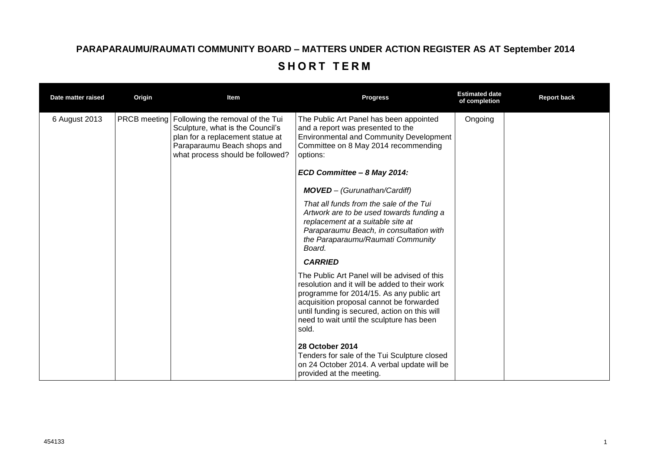## **PARAPARAUMU/RAUMATI COMMUNITY BOARD – MATTERS UNDER ACTION REGISTER AS AT September 2014** SHORT TERM

| Date matter raised | Origin              | Item                                                                                                                                                                        | <b>Progress</b>                                                                                                                                                                                                                                                                              | <b>Estimated date</b><br>of completion | <b>Report back</b> |
|--------------------|---------------------|-----------------------------------------------------------------------------------------------------------------------------------------------------------------------------|----------------------------------------------------------------------------------------------------------------------------------------------------------------------------------------------------------------------------------------------------------------------------------------------|----------------------------------------|--------------------|
| 6 August 2013      | <b>PRCB</b> meeting | Following the removal of the Tui<br>Sculpture, what is the Council's<br>plan for a replacement statue at<br>Paraparaumu Beach shops and<br>what process should be followed? | The Public Art Panel has been appointed<br>and a report was presented to the<br>Environmental and Community Development<br>Committee on 8 May 2014 recommending<br>options:                                                                                                                  | Ongoing                                |                    |
|                    |                     |                                                                                                                                                                             | ECD Committee - 8 May 2014:                                                                                                                                                                                                                                                                  |                                        |                    |
|                    |                     |                                                                                                                                                                             | <b>MOVED</b> - (Gurunathan/Cardiff)                                                                                                                                                                                                                                                          |                                        |                    |
|                    |                     |                                                                                                                                                                             | That all funds from the sale of the Tui<br>Artwork are to be used towards funding a<br>replacement at a suitable site at<br>Paraparaumu Beach, in consultation with<br>the Paraparaumu/Raumati Community<br>Board.                                                                           |                                        |                    |
|                    |                     |                                                                                                                                                                             | <b>CARRIED</b>                                                                                                                                                                                                                                                                               |                                        |                    |
|                    |                     |                                                                                                                                                                             | The Public Art Panel will be advised of this<br>resolution and it will be added to their work<br>programme for 2014/15. As any public art<br>acquisition proposal cannot be forwarded<br>until funding is secured, action on this will<br>need to wait until the sculpture has been<br>sold. |                                        |                    |
|                    |                     |                                                                                                                                                                             | 28 October 2014<br>Tenders for sale of the Tui Sculpture closed<br>on 24 October 2014. A verbal update will be<br>provided at the meeting.                                                                                                                                                   |                                        |                    |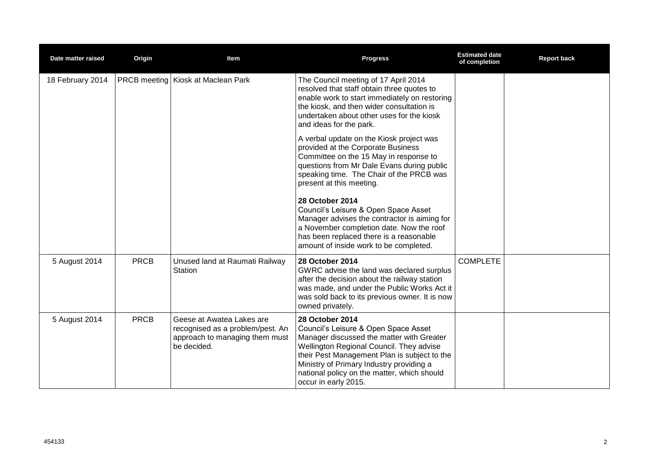| Date matter raised | Origin      | Item                                                                                                           | <b>Progress</b>                                                                                                                                                                                                                                                                                                            | <b>Estimated date</b><br>of completion | <b>Report back</b> |
|--------------------|-------------|----------------------------------------------------------------------------------------------------------------|----------------------------------------------------------------------------------------------------------------------------------------------------------------------------------------------------------------------------------------------------------------------------------------------------------------------------|----------------------------------------|--------------------|
| 18 February 2014   |             | <b>PRCB meeting Kiosk at Maclean Park</b>                                                                      | The Council meeting of 17 April 2014<br>resolved that staff obtain three quotes to<br>enable work to start immediately on restoring<br>the kiosk, and then wider consultation is<br>undertaken about other uses for the kiosk<br>and ideas for the park.                                                                   |                                        |                    |
|                    |             |                                                                                                                | A verbal update on the Kiosk project was<br>provided at the Corporate Business<br>Committee on the 15 May in response to<br>questions from Mr Dale Evans during public<br>speaking time. The Chair of the PRCB was<br>present at this meeting.                                                                             |                                        |                    |
|                    |             |                                                                                                                | <b>28 October 2014</b><br>Council's Leisure & Open Space Asset<br>Manager advises the contractor is aiming for<br>a November completion date. Now the roof<br>has been replaced there is a reasonable<br>amount of inside work to be completed.                                                                            |                                        |                    |
| 5 August 2014      | <b>PRCB</b> | Unused land at Raumati Railway<br>Station                                                                      | 28 October 2014<br>GWRC advise the land was declared surplus<br>after the decision about the railway station<br>was made, and under the Public Works Act it<br>was sold back to its previous owner. It is now<br>owned privately.                                                                                          | <b>COMPLETE</b>                        |                    |
| 5 August 2014      | <b>PRCB</b> | Geese at Awatea Lakes are<br>recognised as a problem/pest. An<br>approach to managing them must<br>be decided. | <b>28 October 2014</b><br>Council's Leisure & Open Space Asset<br>Manager discussed the matter with Greater<br>Wellington Regional Council. They advise<br>their Pest Management Plan is subject to the<br>Ministry of Primary Industry providing a<br>national policy on the matter, which should<br>occur in early 2015. |                                        |                    |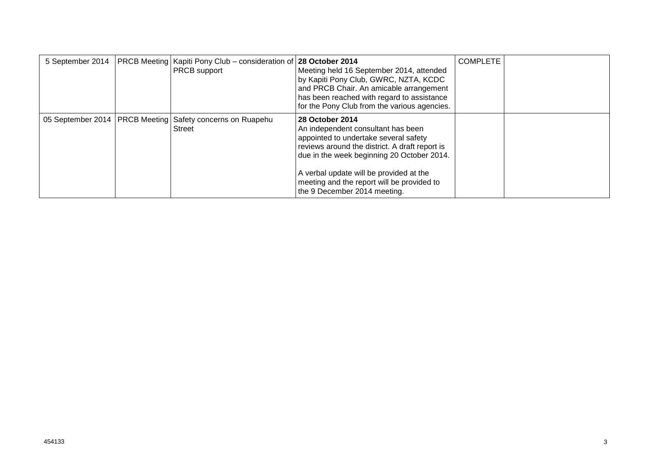|  | 5 September 2014   PRCB Meeting   Kapiti Pony Club – consideration of 28 October 2014<br><b>PRCB</b> support | Meeting held 16 September 2014, attended<br>by Kapiti Pony Club, GWRC, NZTA, KCDC<br>and PRCB Chair. An amicable arrangement<br>has been reached with regard to assistance<br>for the Pony Club from the various agencies.                                                                                              | <b>COMPLETE</b> |  |
|--|--------------------------------------------------------------------------------------------------------------|-------------------------------------------------------------------------------------------------------------------------------------------------------------------------------------------------------------------------------------------------------------------------------------------------------------------------|-----------------|--|
|  | 05 September 2014   PRCB Meeting   Safety concerns on Ruapehu<br>Street                                      | 28 October 2014<br>An independent consultant has been<br>appointed to undertake several safety<br>reviews around the district. A draft report is<br>due in the week beginning 20 October 2014.<br>A verbal update will be provided at the<br>meeting and the report will be provided to<br>the 9 December 2014 meeting. |                 |  |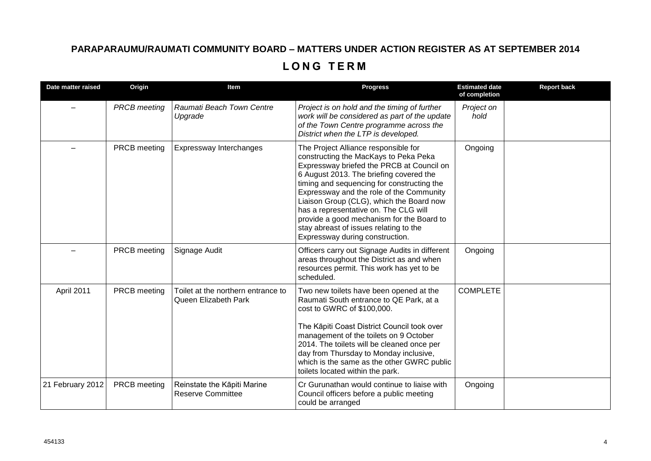## **PARAPARAUMU/RAUMATI COMMUNITY BOARD – MATTERS UNDER ACTION REGISTER AS AT SEPTEMBER 2014 L O N G T E R M**

| Date matter raised | Origin              | Item                                                       | <b>Progress</b>                                                                                                                                                                                                                                                                                                                                                                                                                                                                | <b>Estimated date</b><br>of completion | <b>Report back</b> |
|--------------------|---------------------|------------------------------------------------------------|--------------------------------------------------------------------------------------------------------------------------------------------------------------------------------------------------------------------------------------------------------------------------------------------------------------------------------------------------------------------------------------------------------------------------------------------------------------------------------|----------------------------------------|--------------------|
|                    | <b>PRCB</b> meeting | Raumati Beach Town Centre<br>Upgrade                       | Project is on hold and the timing of further<br>work will be considered as part of the update<br>of the Town Centre programme across the<br>District when the LTP is developed.                                                                                                                                                                                                                                                                                                | Project on<br>hold                     |                    |
|                    | PRCB meeting        | Expressway Interchanges                                    | The Project Alliance responsible for<br>constructing the MacKays to Peka Peka<br>Expressway briefed the PRCB at Council on<br>6 August 2013. The briefing covered the<br>timing and sequencing for constructing the<br>Expressway and the role of the Community<br>Liaison Group (CLG), which the Board now<br>has a representative on. The CLG will<br>provide a good mechanism for the Board to<br>stay abreast of issues relating to the<br>Expressway during construction. | Ongoing                                |                    |
|                    | PRCB meeting        | Signage Audit                                              | Officers carry out Signage Audits in different<br>areas throughout the District as and when<br>resources permit. This work has yet to be<br>scheduled.                                                                                                                                                                                                                                                                                                                         | Ongoing                                |                    |
| April 2011         | PRCB meeting        | Toilet at the northern entrance to<br>Queen Elizabeth Park | Two new toilets have been opened at the<br>Raumati South entrance to QE Park, at a<br>cost to GWRC of \$100,000.<br>The Kāpiti Coast District Council took over<br>management of the toilets on 9 October<br>2014. The toilets will be cleaned once per<br>day from Thursday to Monday inclusive,<br>which is the same as the other GWRC public<br>toilets located within the park.                                                                                            | <b>COMPLETE</b>                        |                    |
| 21 February 2012   | PRCB meeting        | Reinstate the Kāpiti Marine<br><b>Reserve Committee</b>    | Cr Gurunathan would continue to liaise with<br>Council officers before a public meeting<br>could be arranged                                                                                                                                                                                                                                                                                                                                                                   | Ongoing                                |                    |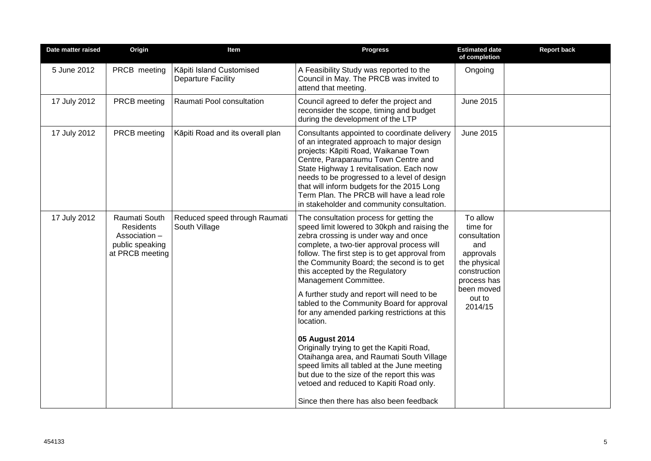| Date matter raised | Origin                                                                                   | Item                                                  | <b>Progress</b>                                                                                                                                                                                                                                                                                                                                                                                                                                                                                                                                                                                                                                                                                                                                                                                   | <b>Estimated date</b><br>of completion                                                                                                     | <b>Report back</b> |
|--------------------|------------------------------------------------------------------------------------------|-------------------------------------------------------|---------------------------------------------------------------------------------------------------------------------------------------------------------------------------------------------------------------------------------------------------------------------------------------------------------------------------------------------------------------------------------------------------------------------------------------------------------------------------------------------------------------------------------------------------------------------------------------------------------------------------------------------------------------------------------------------------------------------------------------------------------------------------------------------------|--------------------------------------------------------------------------------------------------------------------------------------------|--------------------|
| 5 June 2012        | PRCB meeting                                                                             | Kāpiti Island Customised<br><b>Departure Facility</b> | A Feasibility Study was reported to the<br>Council in May. The PRCB was invited to<br>attend that meeting.                                                                                                                                                                                                                                                                                                                                                                                                                                                                                                                                                                                                                                                                                        | Ongoing                                                                                                                                    |                    |
| 17 July 2012       | PRCB meeting                                                                             | Raumati Pool consultation                             | Council agreed to defer the project and<br>reconsider the scope, timing and budget<br>during the development of the LTP                                                                                                                                                                                                                                                                                                                                                                                                                                                                                                                                                                                                                                                                           | June 2015                                                                                                                                  |                    |
| 17 July 2012       | PRCB meeting                                                                             | Kāpiti Road and its overall plan                      | Consultants appointed to coordinate delivery<br>of an integrated approach to major design<br>projects: Kāpiti Road, Waikanae Town<br>Centre, Paraparaumu Town Centre and<br>State Highway 1 revitalisation. Each now<br>needs to be progressed to a level of design<br>that will inform budgets for the 2015 Long<br>Term Plan. The PRCB will have a lead role<br>in stakeholder and community consultation.                                                                                                                                                                                                                                                                                                                                                                                      | <b>June 2015</b>                                                                                                                           |                    |
| 17 July 2012       | Raumati South<br><b>Residents</b><br>Association -<br>public speaking<br>at PRCB meeting | Reduced speed through Raumati<br>South Village        | The consultation process for getting the<br>speed limit lowered to 30kph and raising the<br>zebra crossing is under way and once<br>complete, a two-tier approval process will<br>follow. The first step is to get approval from<br>the Community Board; the second is to get<br>this accepted by the Regulatory<br>Management Committee.<br>A further study and report will need to be<br>tabled to the Community Board for approval<br>for any amended parking restrictions at this<br>location.<br>05 August 2014<br>Originally trying to get the Kapiti Road,<br>Otaihanga area, and Raumati South Village<br>speed limits all tabled at the June meeting<br>but due to the size of the report this was<br>vetoed and reduced to Kapiti Road only.<br>Since then there has also been feedback | To allow<br>time for<br>consultation<br>and<br>approvals<br>the physical<br>construction<br>process has<br>been moved<br>out to<br>2014/15 |                    |